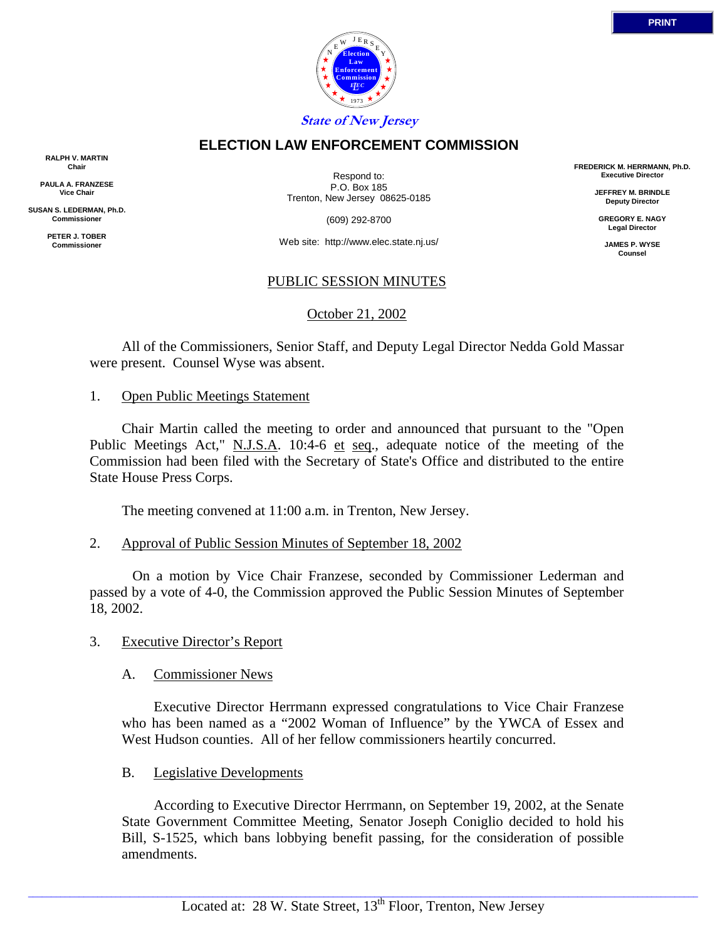

## **ELECTION LAW ENFORCEMENT COMMISSION**

**RALPH V. MARTIN Chair**

**PAULA A. FRANZESE Vice Chair**

**SUSAN S. LEDERMAN, Ph.D. Commissioner**

> **PETER J. TOBER Commissioner**

Respond to: P.O. Box 185 Trenton, New Jersey 08625-0185

(609) 292-8700

Web site: http://www.elec.state.nj.us/

# PUBLIC SESSION MINUTES

October 21, 2002

 All of the Commissioners, Senior Staff, and Deputy Legal Director Nedda Gold Massar were present. Counsel Wyse was absent.

#### 1. Open Public Meetings Statement

 Chair Martin called the meeting to order and announced that pursuant to the "Open Public Meetings Act," N.J.S.A. 10:4-6 et seq., adequate notice of the meeting of the Commission had been filed with the Secretary of State's Office and distributed to the entire State House Press Corps.

The meeting convened at 11:00 a.m. in Trenton, New Jersey.

### 2. Approval of Public Session Minutes of September 18, 2002

 On a motion by Vice Chair Franzese, seconded by Commissioner Lederman and passed by a vote of 4-0, the Commission approved the Public Session Minutes of September 18, 2002.

### 3. Executive Director's Report

### A. Commissioner News

 Executive Director Herrmann expressed congratulations to Vice Chair Franzese who has been named as a "2002 Woman of Influence" by the YWCA of Essex and West Hudson counties. All of her fellow commissioners heartily concurred.

### B. Legislative Developments

 According to Executive Director Herrmann, on September 19, 2002, at the Senate State Government Committee Meeting, Senator Joseph Coniglio decided to hold his Bill, S-1525, which bans lobbying benefit passing, for the consideration of possible amendments.

**FREDERICK M. HERRMANN, Ph.D. Executive Director**

> **JEFFREY M. BRINDLE Deputy Director**

**GREGORY E. NAGY Legal Director**

**JAMES P. WYSE Counsel**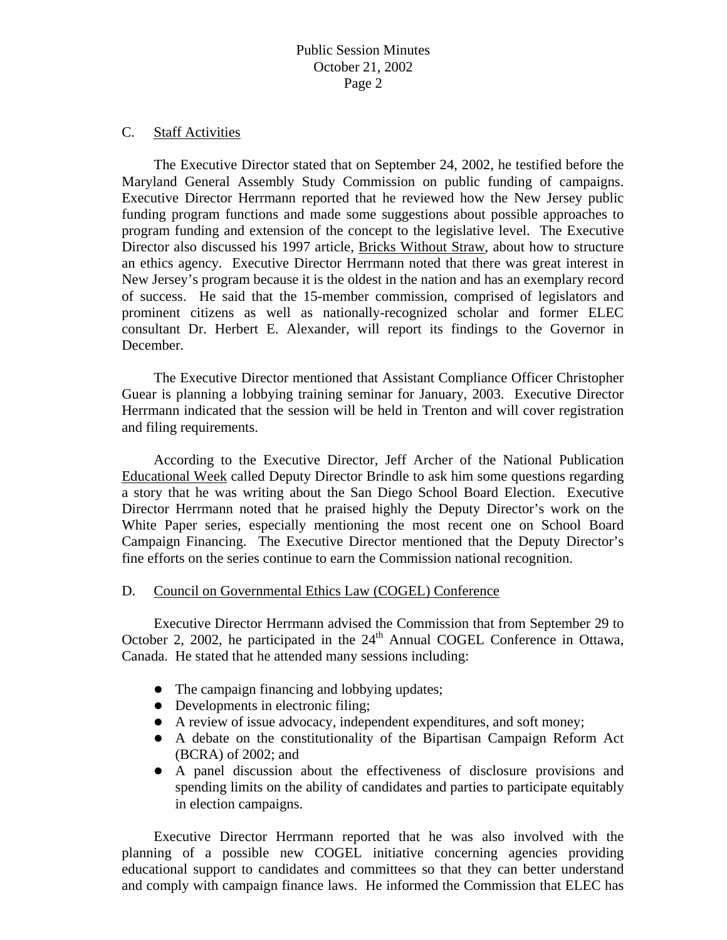#### C. Staff Activities

 The Executive Director stated that on September 24, 2002, he testified before the Maryland General Assembly Study Commission on public funding of campaigns. Executive Director Herrmann reported that he reviewed how the New Jersey public funding program functions and made some suggestions about possible approaches to program funding and extension of the concept to the legislative level. The Executive Director also discussed his 1997 article, Bricks Without Straw, about how to structure an ethics agency. Executive Director Herrmann noted that there was great interest in New Jersey's program because it is the oldest in the nation and has an exemplary record of success. He said that the 15-member commission, comprised of legislators and prominent citizens as well as nationally-recognized scholar and former ELEC consultant Dr. Herbert E. Alexander, will report its findings to the Governor in December.

 The Executive Director mentioned that Assistant Compliance Officer Christopher Guear is planning a lobbying training seminar for January, 2003. Executive Director Herrmann indicated that the session will be held in Trenton and will cover registration and filing requirements.

 According to the Executive Director, Jeff Archer of the National Publication Educational Week called Deputy Director Brindle to ask him some questions regarding a story that he was writing about the San Diego School Board Election. Executive Director Herrmann noted that he praised highly the Deputy Director's work on the White Paper series, especially mentioning the most recent one on School Board Campaign Financing. The Executive Director mentioned that the Deputy Director's fine efforts on the series continue to earn the Commission national recognition.

#### D. Council on Governmental Ethics Law (COGEL) Conference

 Executive Director Herrmann advised the Commission that from September 29 to October 2, 2002, he participated in the  $24<sup>th</sup>$  Annual COGEL Conference in Ottawa, Canada. He stated that he attended many sessions including:

- $\bullet$  The campaign financing and lobbying updates;
- $\bullet$  Developments in electronic filing;
- A review of issue advocacy, independent expenditures, and soft money;
- A debate on the constitutionality of the Bipartisan Campaign Reform Act (BCRA) of 2002; and
- A panel discussion about the effectiveness of disclosure provisions and spending limits on the ability of candidates and parties to participate equitably in election campaigns.

 Executive Director Herrmann reported that he was also involved with the planning of a possible new COGEL initiative concerning agencies providing educational support to candidates and committees so that they can better understand and comply with campaign finance laws. He informed the Commission that ELEC has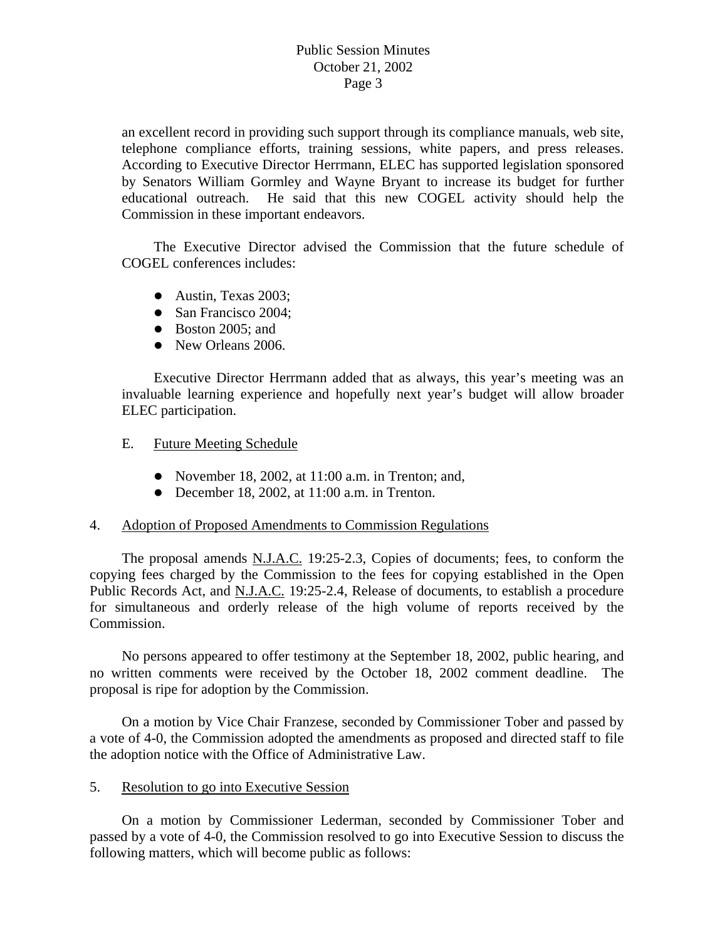an excellent record in providing such support through its compliance manuals, web site, telephone compliance efforts, training sessions, white papers, and press releases. According to Executive Director Herrmann, ELEC has supported legislation sponsored by Senators William Gormley and Wayne Bryant to increase its budget for further educational outreach. He said that this new COGEL activity should help the Commission in these important endeavors.

 The Executive Director advised the Commission that the future schedule of COGEL conferences includes:

- $\bullet$  Austin, Texas 2003;
- San Francisco 2004;
- $\bullet$  Boston 2005; and
- New Orleans 2006.

 Executive Director Herrmann added that as always, this year's meeting was an invaluable learning experience and hopefully next year's budget will allow broader ELEC participation.

- E. Future Meeting Schedule
	- November 18, 2002, at  $11:00$  a.m. in Trenton; and,
	- $\bullet$  December 18, 2002, at 11:00 a.m. in Trenton.

## 4. Adoption of Proposed Amendments to Commission Regulations

 The proposal amends N.J.A.C. 19:25-2.3, Copies of documents; fees, to conform the copying fees charged by the Commission to the fees for copying established in the Open Public Records Act, and N.J.A.C. 19:25-2.4, Release of documents, to establish a procedure for simultaneous and orderly release of the high volume of reports received by the Commission.

 No persons appeared to offer testimony at the September 18, 2002, public hearing, and no written comments were received by the October 18, 2002 comment deadline. The proposal is ripe for adoption by the Commission.

 On a motion by Vice Chair Franzese, seconded by Commissioner Tober and passed by a vote of 4-0, the Commission adopted the amendments as proposed and directed staff to file the adoption notice with the Office of Administrative Law.

#### 5. Resolution to go into Executive Session

 On a motion by Commissioner Lederman, seconded by Commissioner Tober and passed by a vote of 4-0, the Commission resolved to go into Executive Session to discuss the following matters, which will become public as follows: